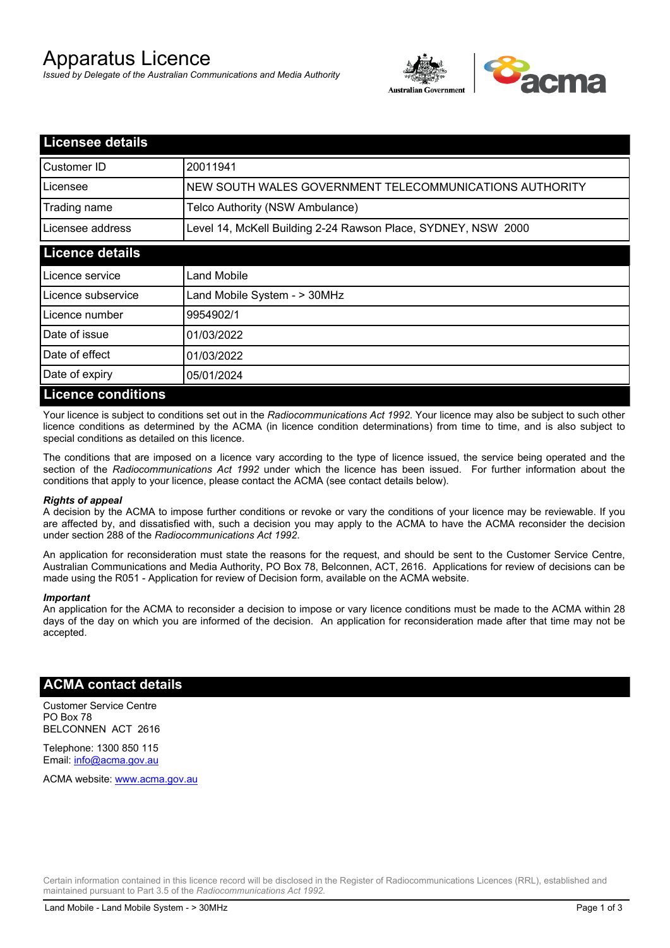# Apparatus Licence

*Issued by Delegate of the Australian Communications and Media Authority*



| <b>Licensee details</b>   |                                                               |  |
|---------------------------|---------------------------------------------------------------|--|
| <b>Customer ID</b>        | 20011941                                                      |  |
| Licensee                  | NEW SOUTH WALES GOVERNMENT TELECOMMUNICATIONS AUTHORITY       |  |
| Trading name              | Telco Authority (NSW Ambulance)                               |  |
| Licensee address          | Level 14, McKell Building 2-24 Rawson Place, SYDNEY, NSW 2000 |  |
| <b>Licence details</b>    |                                                               |  |
| Licence service           | Land Mobile                                                   |  |
| Licence subservice        | Land Mobile System - > 30MHz                                  |  |
| Licence number            | 9954902/1                                                     |  |
| Date of issue             | 01/03/2022                                                    |  |
| Date of effect            | 01/03/2022                                                    |  |
| Date of expiry            | 05/01/2024                                                    |  |
| <b>Licence conditions</b> |                                                               |  |

Your licence is subject to conditions set out in the *Radiocommunications Act 1992*. Your licence may also be subject to such other licence conditions as determined by the ACMA (in licence condition determinations) from time to time, and is also subject to special conditions as detailed on this licence.

The conditions that are imposed on a licence vary according to the type of licence issued, the service being operated and the section of the *Radiocommunications Act 1992* under which the licence has been issued. For further information about the conditions that apply to your licence, please contact the ACMA (see contact details below).

#### *Rights of appeal*

A decision by the ACMA to impose further conditions or revoke or vary the conditions of your licence may be reviewable. If you are affected by, and dissatisfied with, such a decision you may apply to the ACMA to have the ACMA reconsider the decision under section 288 of the *Radiocommunications Act 1992*.

An application for reconsideration must state the reasons for the request, and should be sent to the Customer Service Centre, Australian Communications and Media Authority, PO Box 78, Belconnen, ACT, 2616. Applications for review of decisions can be made using the R051 - Application for review of Decision form, available on the ACMA website.

#### *Important*

An application for the ACMA to reconsider a decision to impose or vary licence conditions must be made to the ACMA within 28 days of the day on which you are informed of the decision. An application for reconsideration made after that time may not be accepted.

### **ACMA contact details**

Customer Service Centre PO Box 78 BELCONNEN ACT 2616

Telephone: 1300 850 115 Email: info@acma.gov.au

ACMA website: www.acma.gov.au

Certain information contained in this licence record will be disclosed in the Register of Radiocommunications Licences (RRL), established and maintained pursuant to Part 3.5 of the *Radiocommunications Act 1992.*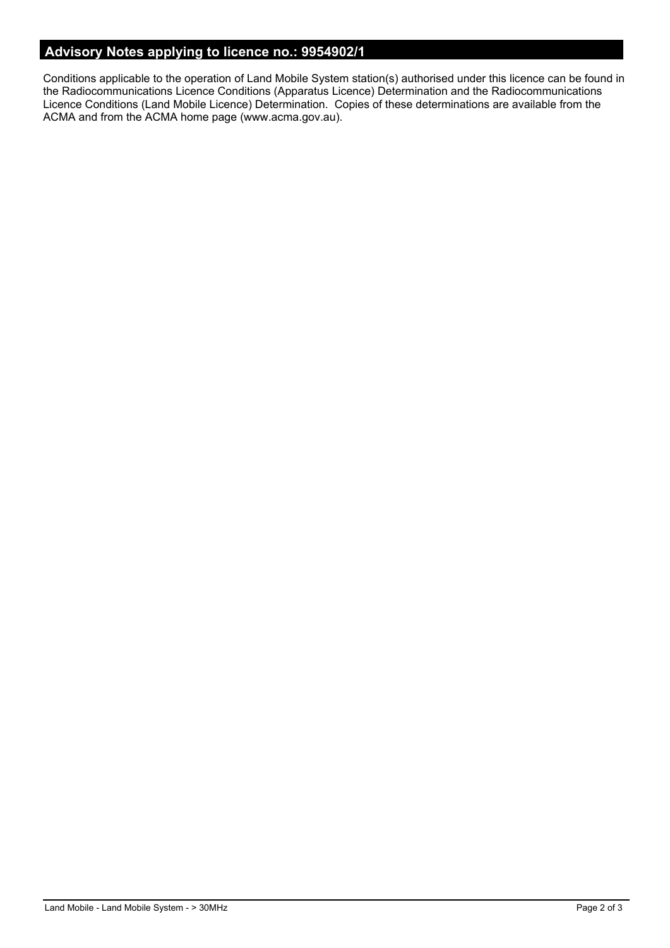# **Advisory Notes applying to licence no.: 9954902/1**

Conditions applicable to the operation of Land Mobile System station(s) authorised under this licence can be found in the Radiocommunications Licence Conditions (Apparatus Licence) Determination and the Radiocommunications Licence Conditions (Land Mobile Licence) Determination. Copies of these determinations are available from the ACMA and from the ACMA home page (www.acma.gov.au).